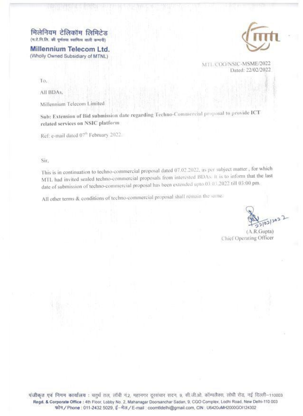मिलेनियम टेलिकॉम लिमिटेड (म.टे.नि.लि. की पूर्णतया स्वामित्व वाली कम्पनी)

Millennium Telecom Ltd. (Wholly Owned Subsidiary of MTNL)



MTL COO/NSIC-MSME/2022 Dated: 22/02/2022

To.

All BDAs.

Millennium Telecom Limited

Sub: Extension of Bid submission date regarding Techno-Commercial proposal to provide ICT related services on NSIC platform

Ref. e-mail dated 07th February 2022.

Sir.

This is in continuation to techno-commercial proposal dated 07.02.2022, as per subject matter, for which MTL had invited sealed techno-commercial proposals from interested BDAs. It is to inform that the last date of submission of techno-commercial proposal has been extended upto 03 03,2022 till 03:00 pm.

All other terms & conditions of techno-commercial proposal shall remain the same.

 $(A.R.Gupta)$ Chief Operating Officer

पंजीकृत एवं निगम कार्यालय : चतुर्थ तल, लॉबी नं.2, महानगर दूरसंचार सदन, 9, सी.जी.ओ. कॉम्पलैक्स, लोधी रोड, नई दिल्ली-110003 Regd. & Corporate Office : 4th Floor, Lobby No. 2, Mahanagar Doorsanchar Sadan, 9, CGO Complex, Lodhi Road, New Delhi-110 003 फोन / Phone : 011-2432 5029, ई-मेल / E-mail : coomtidelhi@gmail.com, CIN : U6420uMH2000GOI124302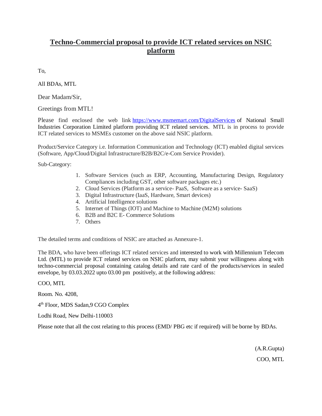## **Techno-Commercial proposal to provide ICT related services on NSIC platform**

To,

All BDAs, MTL

Dear Madam/Sir,

Greetings from MTL!

Please find enclosed the web link <https://www.msmemart.com/DigitalServices> of National Small Industries Corporation Limited platform providing ICT related services. MTL is in process to provide ICT related services to MSMEs customer on the above said NSIC platform.

Product/Service Category i.e. Information Communication and Technology (ICT) enabled digital services (Software, App/Cloud/Digital Infrastructure/B2B/B2C/e-Com Service Provider).

Sub-Category:

- 1. Software Services (such as ERP, Accounting, Manufacturing Design, Regulatory Compliances including GST, other software packages etc.)
- 2. Cloud Services (Platform as a service- PaaS, Software as a service- SaaS)
- 3. Digital Infrastructure (IaaS, Hardware, Smart devices)
- 4. Artificial Intelligence solutions
- 5. Internet of Things (IOT) and Machine to Machine (M2M) solutions
- 6. B2B and B2C E- Commerce Solutions
- 7. Others

The detailed terms and conditions of NSIC are attached as Annexure-1.

The BDA, who have been offerings ICT related services and interested to work with Millennium Telecom Ltd. (MTL) to provide ICT related services on NSIC platform, may submit your willingness along with techno-commercial proposal containing catalog details and rate card of the products/services in sealed envelope, by 03.03.2022 upto 03.00 pm positively, at the following address:

## COO, MTL

Room. No. 4208,

4 th Floor, MDS Sadan,9 CGO Complex

Lodhi Road, New Delhi-110003

Please note that all the cost relating to this process (EMD/ PBG etc if required) will be borne by BDAs.

(A.R.Gupta) COO, MTL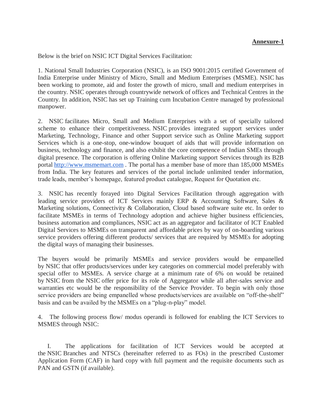## **Annexure-1**

Below is the brief on NSIC ICT Digital Services Facilitation:

1. National Small Industries Corporation (NSIC), is an ISO 9001:2015 certified Government of India Enterprise under Ministry of Micro, Small and Medium Enterprises (MSME). NSIC has been working to promote, aid and foster the growth of micro, small and medium enterprises in the country. NSIC operates through countrywide network of offices and Technical Centres in the Country. In addition, NSIC has set up Training cum Incubation Centre managed by professional manpower.

2. NSIC facilitates Micro, Small and Medium Enterprises with a set of specially tailored scheme to enhance their competitiveness. NSIC provides integrated support services under Marketing, Technology, Finance and other Support service such as Online Marketing support Services which is a one-stop, one-window bouquet of aids that will provide information on business, technology and finance, and also exhibit the core competence of Indian SMEs through digital presence. The corporation is offering Online Marketing support Services through its B2B portal [http://www.msmemart.com](http://www.msmemart.com/) . The portal has a member base of more than 185,000 MSMEs from India. The key features and services of the portal include unlimited tender information, trade leads, member's homepage, featured product catalogue, Request for Quotation etc.

3. NSIC has recently forayed into Digital Services Facilitation through aggregation with leading service providers of ICT Services mainly ERP & Accounting Software, Sales & Marketing solutions, Connectivity & Collaboration, Cloud based software suite etc. In order to facilitate MSMEs in terms of Technology adoption and achieve higher business efficiencies, business automation and compliances, NSIC act as an aggregator and facilitator of ICT Enabled Digital Services to MSMEs on transparent and affordable prices by way of on-boarding various service providers offering different products/ services that are required by MSMEs for adopting the digital ways of managing their businesses.

The buyers would be primarily MSMEs and service providers would be empanelled by NSIC that offer products/services under key categories on commercial model preferably with special offer to MSMEs. A service charge at a minimum rate of 6% on would be retained by NSIC from the NSIC offer price for its role of Aggregator while all after-sales service and warranties etc would be the responsibility of the Service Provider. To begin with only those service providers are being empanelled whose products/services are available on "off-the-shelf" basis and can be availed by the MSMEs on a "plug-n-play" model.

4. The following process flow/ modus operandi is followed for enabling the ICT Services to MSMES through NSIC:

I. The applications for facilitation of ICT Services would be accepted at the NSIC Branches and NTSCs (hereinafter referred to as FOs) in the prescribed Customer Application Form (CAF) in hard copy with full payment and the requisite documents such as PAN and GSTN (if available).